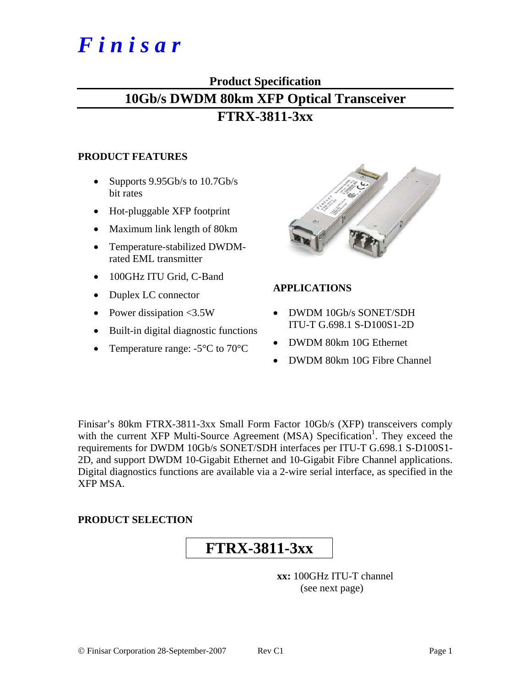# *F i n i s a r*

## **Product Specification**

# **10Gb/s DWDM 80km XFP Optical Transceiver**

## **FTRX-3811-3xx**

#### **PRODUCT FEATURES**

- Supports 9.95Gb/s to 10.7Gb/s bit rates
- Hot-pluggable XFP footprint
- Maximum link length of 80km
- Temperature-stabilized DWDMrated EML transmitter
- 100GHz ITU Grid, C-Band
- Duplex LC connector
- Power dissipation <3.5W
- Built-in digital diagnostic functions
- Temperature range: -5<sup>o</sup>C to 70<sup>o</sup>C



## **APPLICATIONS**

- DWDM 10Gb/s SONET/SDH ITU-T G.698.1 S-D100S1-2D
- DWDM 80km 10G Ethernet
- DWDM 80km 10G Fibre Channel

Finisar's 80km FTRX-3811-3xx Small Form Factor 10Gb/s (XFP) transceivers comply with the current XFP Multi-Source Agreement (MSA) Specification<sup>1</sup>. They exceed the requirements for DWDM 10Gb/s SONET/SDH interfaces per ITU-T G.698.1 S-D100S1- 2D, and support DWDM 10-Gigabit Ethernet and 10-Gigabit Fibre Channel applications. Digital diagnostics functions are available via a 2-wire serial interface, as specified in the XFP MSA.

## **PRODUCT SELECTION**

# **FTRX-3811-3xx**

**xx:** 100GHz ITU-T channel (see next page)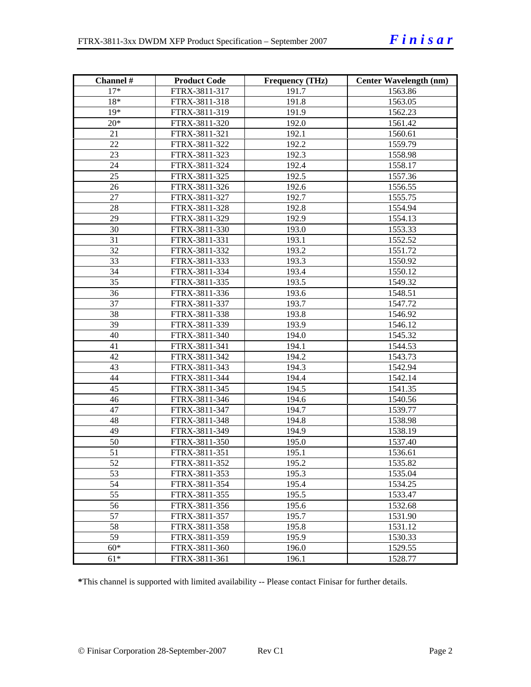| Channel # | <b>Product Code</b> | <b>Frequency (THz)</b> | <b>Center Wavelength (nm)</b> |
|-----------|---------------------|------------------------|-------------------------------|
| $17*$     | FTRX-3811-317       | 191.7                  | 1563.86                       |
| $18*$     | FTRX-3811-318       | 191.8                  | 1563.05                       |
| $19*$     | FTRX-3811-319       | 191.9                  | 1562.23                       |
| $20*$     | FTRX-3811-320       | 192.0                  | 1561.42                       |
| 21        | FTRX-3811-321       | 192.1                  | 1560.61                       |
| 22        | FTRX-3811-322       | 192.2                  | 1559.79                       |
| 23        | FTRX-3811-323       | 192.3                  | 1558.98                       |
| 24        | FTRX-3811-324       | 192.4                  | 1558.17                       |
| 25        | FTRX-3811-325       | 192.5                  | 1557.36                       |
| 26        | FTRX-3811-326       | 192.6                  | 1556.55                       |
| 27        | FTRX-3811-327       | 192.7                  | 1555.75                       |
| 28        | FTRX-3811-328       | 192.8                  | 1554.94                       |
| 29        | FTRX-3811-329       | 192.9                  | 1554.13                       |
| 30        | FTRX-3811-330       | 193.0                  | 1553.33                       |
| 31        | FTRX-3811-331       | 193.1                  | 1552.52                       |
| 32        | FTRX-3811-332       | 193.2                  | 1551.72                       |
| 33        | FTRX-3811-333       | 193.3                  | 1550.92                       |
| 34        | FTRX-3811-334       | 193.4                  | 1550.12                       |
| 35        | FTRX-3811-335       | 193.5                  | 1549.32                       |
| 36        | FTRX-3811-336       | 193.6                  | 1548.51                       |
| 37        | FTRX-3811-337       | 193.7                  | 1547.72                       |
| 38        | FTRX-3811-338       | 193.8                  | 1546.92                       |
| 39        | FTRX-3811-339       | 193.9                  | 1546.12                       |
| 40        | FTRX-3811-340       | 194.0                  | 1545.32                       |
| 41        | FTRX-3811-341       | 194.1                  | 1544.53                       |
| 42        | FTRX-3811-342       | 194.2                  | 1543.73                       |
| 43        | FTRX-3811-343       | 194.3                  | 1542.94                       |
| 44        | FTRX-3811-344       | 194.4                  | 1542.14                       |
| 45        | FTRX-3811-345       | 194.5                  | 1541.35                       |
| 46        | FTRX-3811-346       | 194.6                  | 1540.56                       |
| 47        | FTRX-3811-347       | 194.7                  | 1539.77                       |
| 48        | FTRX-3811-348       | 194.8                  | 1538.98                       |
| 49        | FTRX-3811-349       | 194.9                  | 1538.19                       |
| 50        | FTRX-3811-350       | 195.0                  | 1537.40                       |
| 51        | FTRX-3811-351       | 195.1                  | 1536.61                       |
| 52        | FTRX-3811-352       | 195.2                  | 1535.82                       |
| 53        | FTRX-3811-353       | 195.3                  | 1535.04                       |
| 54        | FTRX-3811-354       | 195.4                  | 1534.25                       |
| 55        | FTRX-3811-355       | 195.5                  | 1533.47                       |
| 56        | FTRX-3811-356       | 195.6                  | 1532.68                       |
| 57        | FTRX-3811-357       | 195.7                  | 1531.90                       |
| 58        | FTRX-3811-358       | 195.8                  | 1531.12                       |
| 59        | FTRX-3811-359       | 195.9                  | 1530.33                       |
| $60*$     | FTRX-3811-360       | 196.0                  | 1529.55                       |
| $61*$     | FTRX-3811-361       | 196.1                  | 1528.77                       |

**\***This channel is supported with limited availability -- Please contact Finisar for further details.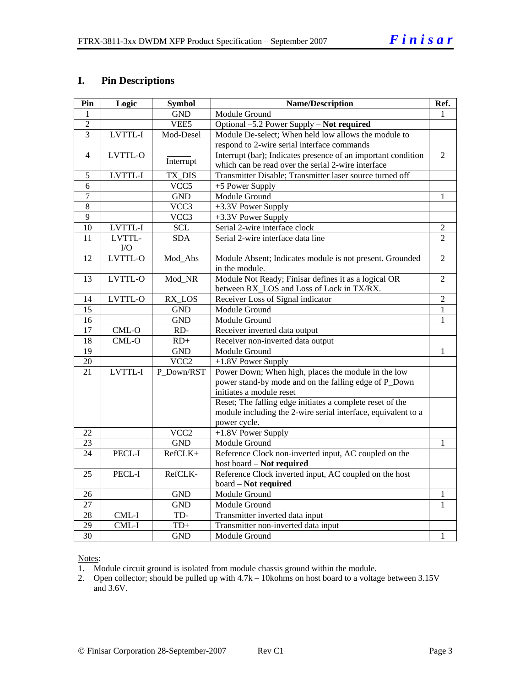#### **I. Pin Descriptions**

| Pin             | Logic   | <b>Symbol</b>    | <b>Name/Description</b>                                       |                |
|-----------------|---------|------------------|---------------------------------------------------------------|----------------|
| 1               |         | <b>GND</b>       | Module Ground                                                 |                |
| $\overline{2}$  |         | VEE5             | Optional -5.2 Power Supply - Not required                     |                |
| $\overline{3}$  | LVTTL-I | Mod-Desel        | Module De-select; When held low allows the module to          |                |
|                 |         |                  | respond to 2-wire serial interface commands                   |                |
| $\overline{4}$  | LVTTL-O |                  | Interrupt (bar); Indicates presence of an important condition | 2              |
|                 |         | Interrupt        | which can be read over the serial 2-wire interface            |                |
| 5               | LVTTL-I | TX_DIS           | Transmitter Disable; Transmitter laser source turned off      |                |
| 6               |         | VCC5             | +5 Power Supply                                               |                |
| 7               |         | <b>GND</b>       | Module Ground                                                 | 1              |
| 8               |         | VCC3             | +3.3V Power Supply                                            |                |
| 9               |         | VCC3             | +3.3V Power Supply                                            |                |
| 10              | LVTTL-I | <b>SCL</b>       | Serial 2-wire interface clock                                 | 2              |
| 11              | LVTTL-  | <b>SDA</b>       | Serial 2-wire interface data line                             | $\overline{2}$ |
|                 | I/O     |                  |                                                               |                |
| 12              | LVTTL-O | Mod_Abs          | Module Absent; Indicates module is not present. Grounded      | $\overline{2}$ |
|                 |         |                  | in the module.                                                |                |
| 13              | LVTTL-O | Mod_NR           | Module Not Ready; Finisar defines it as a logical OR          | 2              |
|                 |         |                  | between RX_LOS and Loss of Lock in TX/RX.                     |                |
| 14              | LVTTL-O | RX_LOS           | Receiver Loss of Signal indicator                             | $\overline{2}$ |
| 15              |         | <b>GND</b>       | Module Ground                                                 | $\mathbf{1}$   |
| 16              |         | <b>GND</b>       | Module Ground                                                 | 1              |
| 17              | $CML-O$ | RD-              | Receiver inverted data output                                 |                |
| 18              | CML-O   | $RD+$            | Receiver non-inverted data output                             |                |
| 19              |         | <b>GND</b>       | Module Ground                                                 | 1              |
| $\overline{20}$ |         | VCC <sub>2</sub> | +1.8V Power Supply                                            |                |
| $\overline{21}$ | LVTTL-I | P Down/RST       | Power Down; When high, places the module in the low           |                |
|                 |         |                  | power stand-by mode and on the falling edge of P_Down         |                |
|                 |         |                  | initiates a module reset                                      |                |
|                 |         |                  | Reset; The falling edge initiates a complete reset of the     |                |
|                 |         |                  | module including the 2-wire serial interface, equivalent to a |                |
|                 |         |                  | power cycle.                                                  |                |
| 22              |         | VCC <sub>2</sub> | +1.8V Power Supply                                            |                |
| 23              |         | <b>GND</b>       | Module Ground                                                 | 1              |
| 24              | PECL-I  | RefCLK+          | Reference Clock non-inverted input, AC coupled on the         |                |
|                 |         |                  | host board - Not required                                     |                |
| 25              | PECL-I  | RefCLK-          | Reference Clock inverted input, AC coupled on the host        |                |
|                 |         |                  | board - Not required                                          |                |
| 26              |         | <b>GND</b>       | Module Ground                                                 | 1              |
| 27              |         | <b>GND</b>       | Module Ground                                                 | 1              |
| 28              | $CML-I$ | TD-              | Transmitter inverted data input                               |                |
| $\overline{29}$ | CML-I   | $TD+$            | Transmitter non-inverted data input                           |                |
| $\overline{30}$ |         | <b>GND</b>       | Module Ground                                                 | 1              |

#### Notes:

1. Module circuit ground is isolated from module chassis ground within the module.

2. Open collector; should be pulled up with  $4.7k - 10kohns$  on host board to a voltage between 3.15V and 3.6V.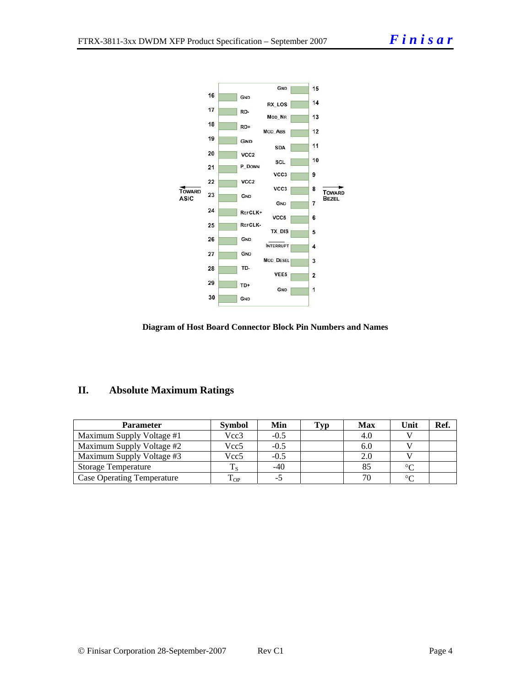

#### **Diagram of Host Board Connector Block Pin Numbers and Names**

## **II. Absolute Maximum Ratings**

| Parameter                         | <b>Symbol</b> | Min    | Typ | <b>Max</b> | Unit    | Ref. |
|-----------------------------------|---------------|--------|-----|------------|---------|------|
| Maximum Supply Voltage #1         | Vcc3          | $-0.5$ |     | 4.0        |         |      |
| Maximum Supply Voltage #2         | Vcc5          | $-0.5$ |     | 6.0        |         |      |
| Maximum Supply Voltage #3         | Vcc5          | $-0.5$ |     | 2.0        |         |      |
| <b>Storage Temperature</b>        |               | -40    |     |            | $\circ$ |      |
| <b>Case Operating Temperature</b> | l OP          |        |     |            | $\sim$  |      |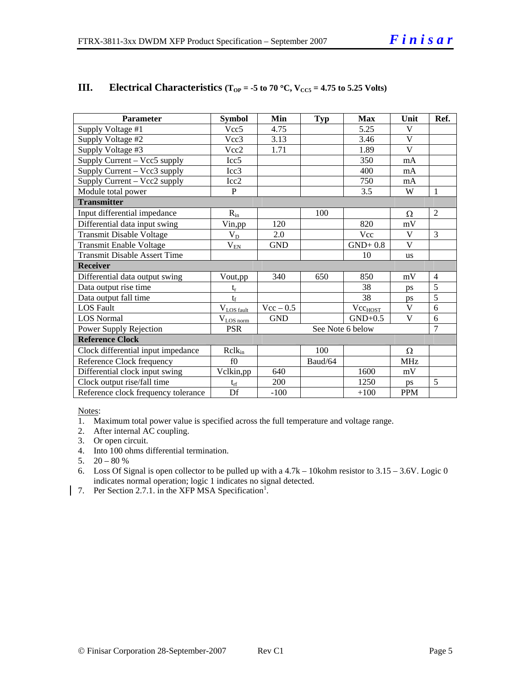| Parameter                           | <b>Symbol</b>               | Min              | <b>Typ</b> | <b>Max</b>          | Unit       | Ref.           |  |
|-------------------------------------|-----------------------------|------------------|------------|---------------------|------------|----------------|--|
| Supply Voltage #1                   | Vcc <sub>5</sub>            | 4.75             |            | 5.25                | V          |                |  |
| Supply Voltage #2                   | Vcc3                        | 3.13             |            | 3.46                | V          |                |  |
| Supply Voltage #3                   | Vcc2                        | 1.71             |            | 1.89                | V          |                |  |
| Supply Current - Vcc5 supply        | Icc <sub>5</sub>            |                  |            | 350                 | mA         |                |  |
| Supply Current – Vcc3 supply        | Icc3                        |                  |            | 400                 | mA         |                |  |
| Supply Current - Vcc2 supply        | Icc2                        |                  |            | 750                 | mA         |                |  |
| Module total power                  | $\mathbf{P}$                |                  |            | 3.5                 | W          | 1              |  |
| <b>Transmitter</b>                  |                             |                  |            |                     |            |                |  |
| Input differential impedance        | $R_{in}$                    |                  | 100        |                     | Ω          | 2              |  |
| Differential data input swing       | Vin,pp                      | 120              |            | 820                 | mV         |                |  |
| <b>Transmit Disable Voltage</b>     | $V_D$                       | 2.0              |            | Vcc                 | V          | 3              |  |
| <b>Transmit Enable Voltage</b>      | $\rm V_{\rm EN}$            | <b>GND</b>       |            | $GND+0.8$           | V          |                |  |
| <b>Transmit Disable Assert Time</b> |                             |                  |            | 10                  | us         |                |  |
| <b>Receiver</b>                     |                             |                  |            |                     |            |                |  |
| Differential data output swing      | Vout,pp                     | 340              | 650        | 850                 | mV         | $\overline{4}$ |  |
| Data output rise time               | $t_r$                       |                  |            | 38                  | ps         | $\overline{5}$ |  |
| Data output fall time               | $t_f$                       |                  |            | 38                  | ps         | 5              |  |
| <b>LOS Fault</b>                    | $V_{LOS\; fault}$           | $Vec - 0.5$      |            | Vcc <sub>HOST</sub> | V          | 6              |  |
| <b>LOS</b> Normal                   | $V_{\underline{LOS\ norm}}$ | <b>GND</b>       |            | $GND+0.5$           | V          | 6              |  |
| Power Supply Rejection              | <b>PSR</b>                  | See Note 6 below |            |                     |            | 7              |  |
| <b>Reference Clock</b>              |                             |                  |            |                     |            |                |  |
| Clock differential input impedance  | $R$ cl $k_{in}$             |                  | 100        |                     | Ω          |                |  |
| Reference Clock frequency           | f()                         |                  | Baud/64    |                     | <b>MHz</b> |                |  |
| Differential clock input swing      | Vclkin,pp                   | 640              |            | 1600                | mV         |                |  |
| Clock output rise/fall time         | $t_{rf}$                    | 200              |            | 1250                | ps         | 5              |  |
| Reference clock frequency tolerance | Df                          | $-100$           |            | $+100$              | <b>PPM</b> |                |  |

#### **III.** Electrical Characteristics ( $T_{OP} = -5$  to 70 °C,  $V_{CC5} = 4.75$  to 5.25 Volts)

Notes:

1. Maximum total power value is specified across the full temperature and voltage range.

- 2. After internal AC coupling.
- 3. Or open circuit.
- 4. Into 100 ohms differential termination.
- 5.  $20 80 %$
- 6. Loss Of Signal is open collector to be pulled up with a 4.7k 10kohm resistor to 3.15 3.6V. Logic 0 indicates normal operation; logic 1 indicates no signal detected.
- 7. Per Section 2.7.1. in the XFP MSA Specification<sup>1</sup>.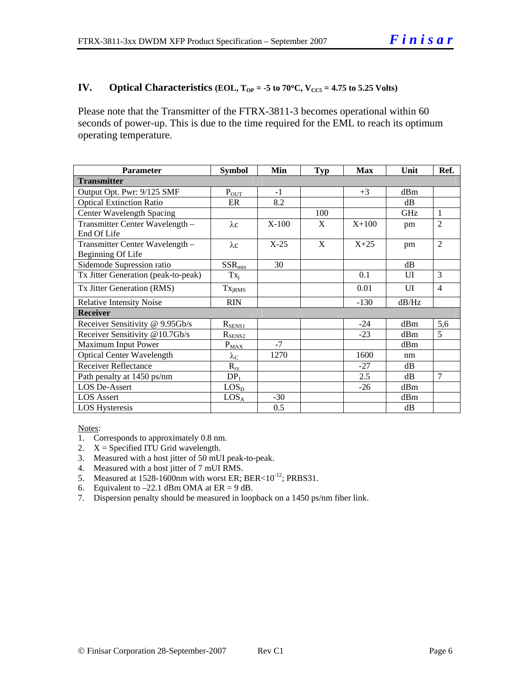#### **IV.** Optical Characteristics (EOL,  $T_{OP} = -5$  to  $70^{\circ}$ C,  $V_{CC5} = 4.75$  to 5.25 Volts)

Please note that the Transmitter of the FTRX-3811-3 becomes operational within 60 seconds of power-up. This is due to the time required for the EML to reach its optimum operating temperature.

| <b>Parameter</b>                    | <b>Symbol</b>               | Min     | <b>Typ</b> | <b>Max</b> | Unit  | Ref.           |  |  |
|-------------------------------------|-----------------------------|---------|------------|------------|-------|----------------|--|--|
| <b>Transmitter</b>                  |                             |         |            |            |       |                |  |  |
| Output Opt. Pwr: 9/125 SMF          | $P_{OUT}$                   | $-1$    |            | $+3$       | dBm   |                |  |  |
| <b>Optical Extinction Ratio</b>     | ER                          | 8.2     |            |            | dB    |                |  |  |
| Center Wavelength Spacing           |                             |         | 100        |            | GHz   | 1              |  |  |
| Transmitter Center Wavelength -     | $\lambda c$                 | $X-100$ | X          | $X + 100$  | pm    | $\overline{2}$ |  |  |
| End Of Life                         |                             |         |            |            |       |                |  |  |
| Transmitter Center Wavelength -     | $\lambda c$                 | $X-25$  | X          | $X+25$     | pm    | $\overline{2}$ |  |  |
| Beginning Of Life                   |                             |         |            |            |       |                |  |  |
| Sidemode Supression ratio           | $SSR_{min}$                 | 30      |            |            | dB    |                |  |  |
| Tx Jitter Generation (peak-to-peak) | $Tx_i$                      |         |            | 0.1        | UI    | 3              |  |  |
| Tx Jitter Generation (RMS)          | Tx <sub>jRMS</sub>          |         |            | 0.01       | UI    | $\overline{4}$ |  |  |
| <b>Relative Intensity Noise</b>     | <b>RIN</b>                  |         |            | $-130$     | dB/Hz |                |  |  |
| <b>Receiver</b>                     |                             |         |            |            |       |                |  |  |
| Receiver Sensitivity @ 9.95Gb/s     | $R_{SENS1}$                 |         |            | $-24$      | dBm   | 5,6            |  |  |
| Receiver Sensitivity @10.7Gb/s      | $R_{\underline{\rm SENS2}}$ |         |            | $-23$      | dBm   | 5              |  |  |
| Maximum Input Power                 | $P_{\underline{MAX}}$       | $-7$    |            |            | dBm   |                |  |  |
| <b>Optical Center Wavelength</b>    | $\lambda_{\rm C}$           | 1270    |            | 1600       | nm    |                |  |  |
| <b>Receiver Reflectance</b>         | $R_{\underline{rx}}$        |         |            | $-27$      | dB    |                |  |  |
| Path penalty at 1450 ps/nm          | DP <sub>1</sub>             |         |            | 2.5        | dB    | $\overline{7}$ |  |  |
| <b>LOS De-Assert</b>                | LOS <sub>D</sub>            |         |            | $-26$      | dBm   |                |  |  |
| <b>LOS</b> Assert                   | LOS <sub>A</sub>            | $-30$   |            |            | dBm   |                |  |  |
| <b>LOS Hysteresis</b>               |                             | 0.5     |            |            | dB    |                |  |  |

Notes:

- 1. Corresponds to approximately 0.8 nm.
- 2.  $X =$  Specified ITU Grid wavelength.
- 3. Measured with a host jitter of 50 mUI peak-to-peak.
- 4. Measured with a host jitter of 7 mUI RMS.
- 5. Measured at  $1528-1600$  nm with worst ER; BER< $10^{-12}$ ; PRBS31.
- 6. Equivalent to  $-22.1$  dBm OMA at ER = 9 dB.
- 7. Dispersion penalty should be measured in loopback on a 1450 ps/nm fiber link.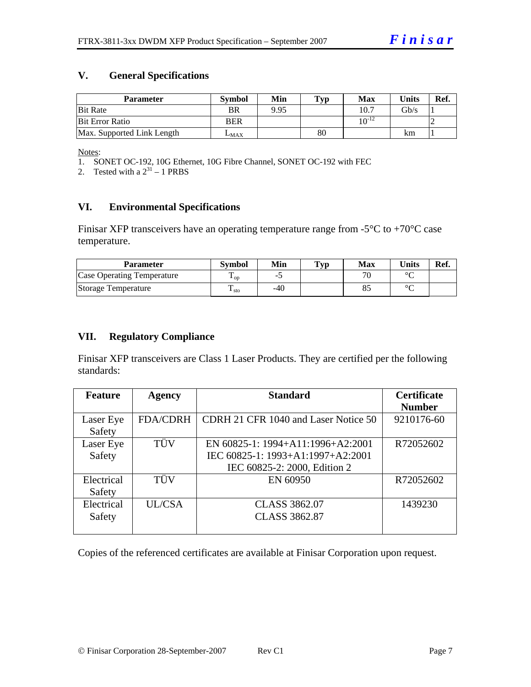#### **V. General Specifications**

| <b>Parameter</b>           | <b>Symbol</b> | Min  | Typ | <b>Max</b> | <b>Units</b> | Ref. |
|----------------------------|---------------|------|-----|------------|--------------|------|
| <b>Bit Rate</b>            | BR            | 9.95 |     | 10.7       | Gb/s         |      |
| <b>Bit Error Ratio</b>     | <b>BER</b>    |      |     | $10^{-12}$ |              |      |
| Max. Supported Link Length | $L_{MAX}$     |      | 80  |            | km           |      |

Notes:

1. SONET OC-192, 10G Ethernet, 10G Fibre Channel, SONET OC-192 with FEC

2. Tested with a  $2^{31} - 1$  PRBS

## **VI. Environmental Specifications**

Finisar XFP transceivers have an operating temperature range from  $-5^{\circ}$ C to  $+70^{\circ}$ C case temperature.

| Parameter                  | Svmbol                 | Min   | Typ | Max | $\mathbf{v}_{\text{hits}}$ | Ref. |
|----------------------------|------------------------|-------|-----|-----|----------------------------|------|
| Case Operating Temperature | L OD                   | -     |     |     | $\sim$                     |      |
| Storage Temperature        | m<br>$\frac{1}{1}$ sto | $-40$ |     |     | $\sim$                     |      |

#### **VII. Regulatory Compliance**

Finisar XFP transceivers are Class 1 Laser Products. They are certified per the following standards:

| <b>Feature</b> | <b>Agency</b>   | <b>Standard</b>                      | <b>Certificate</b> |
|----------------|-----------------|--------------------------------------|--------------------|
|                |                 |                                      | <b>Number</b>      |
| Laser Eye      | <b>FDA/CDRH</b> | CDRH 21 CFR 1040 and Laser Notice 50 | 9210176-60         |
| Safety         |                 |                                      |                    |
| Laser Eye      | TÜV             | EN 60825-1: 1994+A11:1996+A2:2001    | R72052602          |
| Safety         |                 | IEC 60825-1: 1993+A1:1997+A2:2001    |                    |
|                |                 | IEC 60825-2: 2000, Edition 2         |                    |
| Electrical     | TÜV             | EN 60950                             | R72052602          |
| Safety         |                 |                                      |                    |
| Electrical     | UL/CSA          | <b>CLASS 3862.07</b>                 | 1439230            |
| Safety         |                 | <b>CLASS 3862.87</b>                 |                    |
|                |                 |                                      |                    |

Copies of the referenced certificates are available at Finisar Corporation upon request.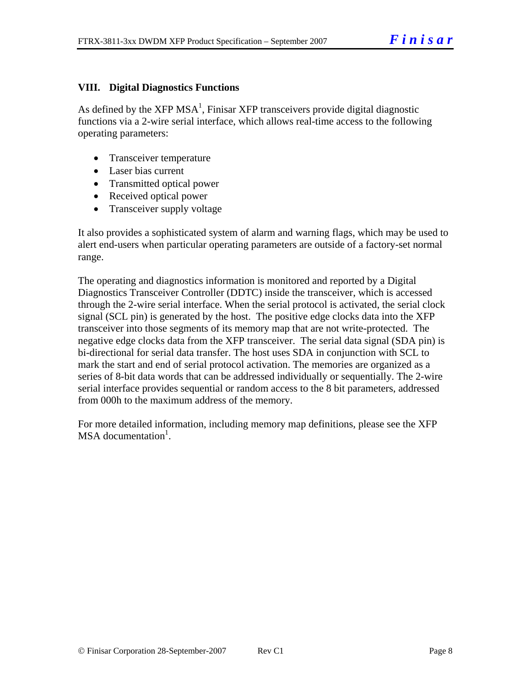### **VIII. Digital Diagnostics Functions**

As defined by the XFP MSA<sup>1</sup>, Finisar XFP transceivers provide digital diagnostic functions via a 2-wire serial interface, which allows real-time access to the following operating parameters:

- Transceiver temperature
- Laser bias current
- Transmitted optical power
- Received optical power
- Transceiver supply voltage

It also provides a sophisticated system of alarm and warning flags, which may be used to alert end-users when particular operating parameters are outside of a factory-set normal range.

The operating and diagnostics information is monitored and reported by a Digital Diagnostics Transceiver Controller (DDTC) inside the transceiver, which is accessed through the 2-wire serial interface. When the serial protocol is activated, the serial clock signal (SCL pin) is generated by the host. The positive edge clocks data into the XFP transceiver into those segments of its memory map that are not write-protected. The negative edge clocks data from the XFP transceiver. The serial data signal (SDA pin) is bi-directional for serial data transfer. The host uses SDA in conjunction with SCL to mark the start and end of serial protocol activation. The memories are organized as a series of 8-bit data words that can be addressed individually or sequentially. The 2-wire serial interface provides sequential or random access to the 8 bit parameters, addressed from 000h to the maximum address of the memory.

For more detailed information, including memory map definitions, please see the XFP MSA documentation<sup>1</sup>.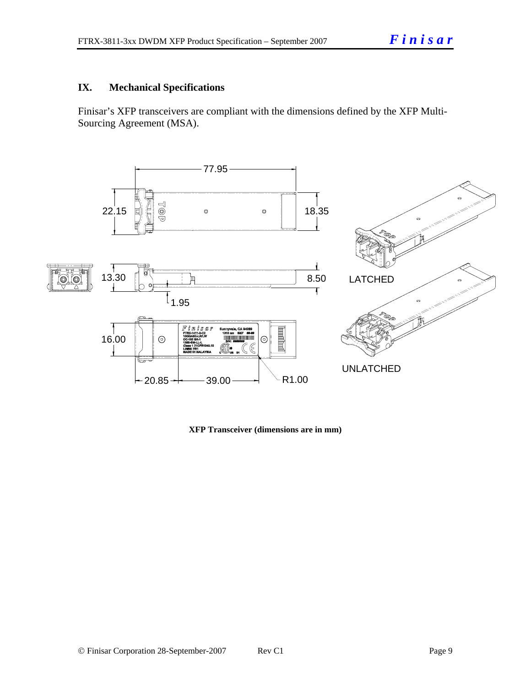### **IX. Mechanical Specifications**

Finisar's XFP transceivers are compliant with the dimensions defined by the XFP Multi-Sourcing Agreement (MSA).



**XFP Transceiver (dimensions are in mm)**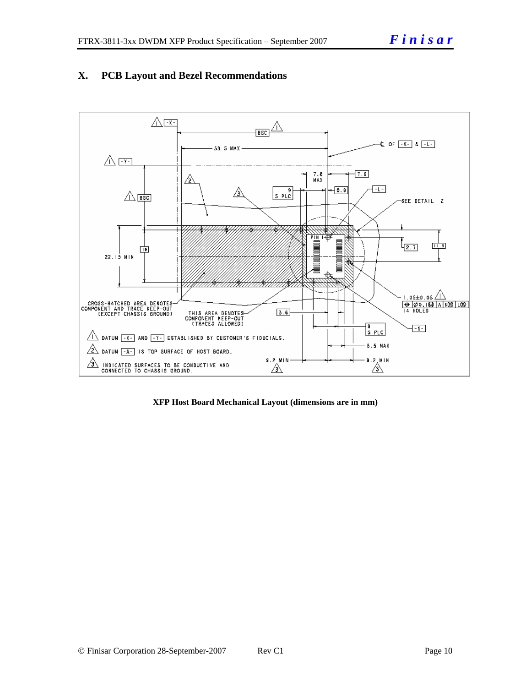



**XFP Host Board Mechanical Layout (dimensions are in mm)**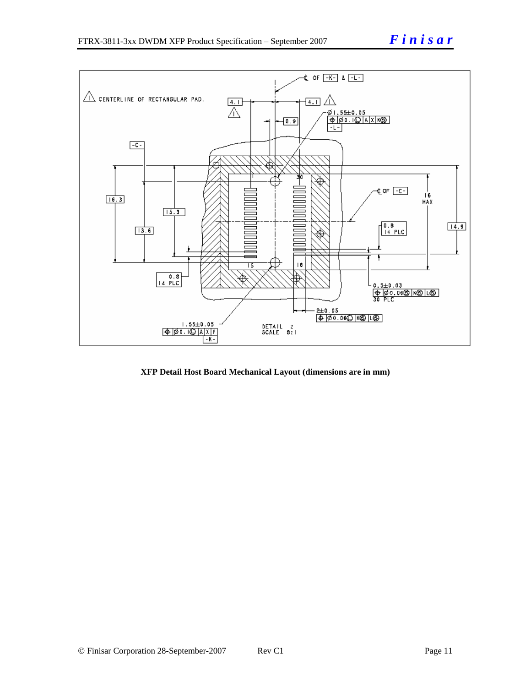

**XFP Detail Host Board Mechanical Layout (dimensions are in mm)**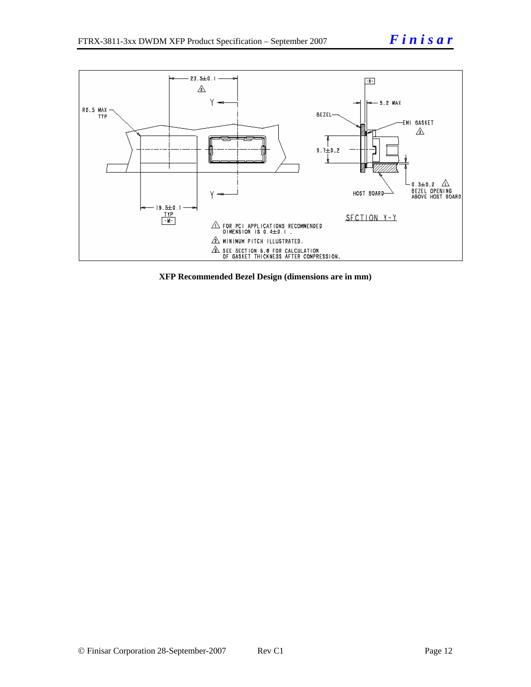

**XFP Recommended Bezel Design (dimensions are in mm)**